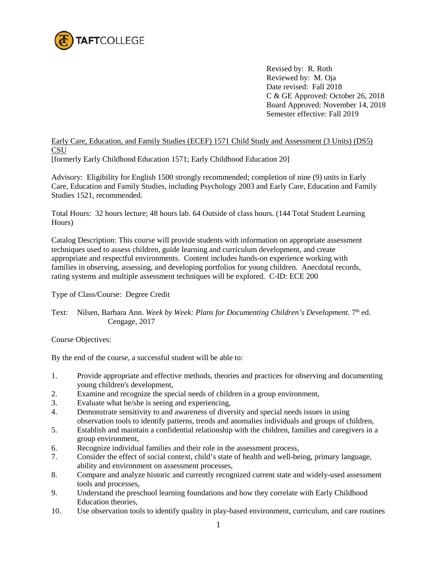

Revised by: R. Roth Reviewed by: M. Oja Date revised: Fall 2018 C & GE Approved: October 26, 2018 Board Approved: November 14, 2018 Semester effective: Fall 2019

## Early Care, Education, and Family Studies (ECEF) 1571 Child Study and Assessment (3 Units) (DS5) **CSU**

[formerly Early Childhood Education 1571; Early Childhood Education 20]

Advisory: Eligibility for English 1500 strongly recommended; completion of nine (9) units in Early Care, Education and Family Studies, including Psychology 2003 and Early Care, Education and Family Studies 1521, recommended.

Total Hours: 32 hours lecture; 48 hours lab. 64 Outside of class hours. (144 Total Student Learning Hours)

Catalog Description: This course will provide students with information on appropriate assessment techniques used to assess children, guide learning and curriculum development, and create appropriate and respectful environments. Content includes hands-on experience working with families in observing, assessing, and developing portfolios for young children. Anecdotal records, rating systems and multiple assessment techniques will be explored. C-ID: ECE 200

Type of Class/Course: Degree Credit

## Text: Nilsen, Barbara Ann. *Week by Week: Plans for Documenting Children's Development.* 7<sup>th</sup> ed. Cengage, 2017

Course Objectives:

By the end of the course, a successful student will be able to:

- 1. Provide appropriate and effective methods, theories and practices for observing and documenting young children's development,
- 2. Examine and recognize the special needs of children in a group environment,
- 3. Evaluate what he/she is seeing and experiencing,
- 4. Demonstrate sensitivity to and awareness of diversity and special needs issues in using observation tools to identify patterns, trends and anomalies individuals and groups of children,
- 5. Establish and maintain a confidential relationship with the children, families and caregivers in a group environment,
- 6. Recognize individual families and their role in the assessment process,
- 7. Consider the effect of social context, child's state of health and well-being, primary language, ability and environment on assessment processes,
- 8. Compare and analyze historic and currently recognized current state and widely-used assessment tools and processes,
- 9. Understand the preschool learning foundations and how they correlate with Early Childhood Education theories,
- 10. Use observation tools to identify quality in play-based environment, curriculum, and care routines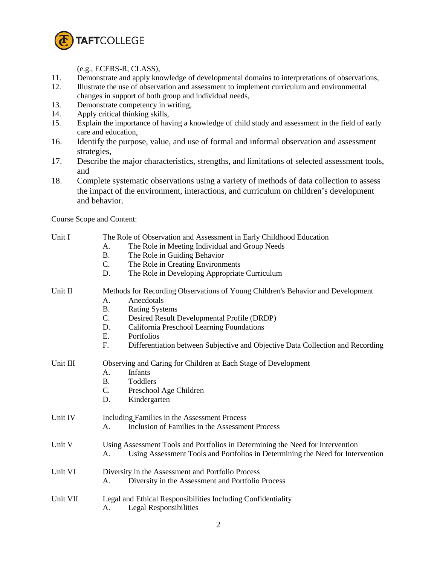

(e.g., ECERS-R, CLASS),

- 11. Demonstrate and apply knowledge of developmental domains to interpretations of observations,
- 12. Illustrate the use of observation and assessment to implement curriculum and environmental changes in support of both group and individual needs,
- 13. Demonstrate competency in writing,
- 14. Apply critical thinking skills,
- 15. Explain the importance of having a knowledge of child study and assessment in the field of early care and education,
- 16. Identify the purpose, value, and use of formal and informal observation and assessment strategies,
- 17. Describe the major characteristics, strengths, and limitations of selected assessment tools, and
- 18. Complete systematic observations using a variety of methods of data collection to assess the impact of the environment, interactions, and curriculum on children's development and behavior.

Course Scope and Content:

| Unit I   | The Role of Observation and Assessment in Early Childhood Education                  |  |  |  |
|----------|--------------------------------------------------------------------------------------|--|--|--|
|          | The Role in Meeting Individual and Group Needs<br>А.                                 |  |  |  |
|          | <b>B.</b><br>The Role in Guiding Behavior                                            |  |  |  |
|          | The Role in Creating Environments<br>$\mathsf{C}$ .                                  |  |  |  |
|          | D.<br>The Role in Developing Appropriate Curriculum                                  |  |  |  |
| Unit II  | Methods for Recording Observations of Young Children's Behavior and Development      |  |  |  |
|          | Anecdotals<br>A.                                                                     |  |  |  |
|          | <b>B.</b><br><b>Rating Systems</b>                                                   |  |  |  |
|          | $C$ .<br>Desired Result Developmental Profile (DRDP)                                 |  |  |  |
|          | California Preschool Learning Foundations<br>D.                                      |  |  |  |
|          | Ε.<br>Portfolios                                                                     |  |  |  |
|          | F.<br>Differentiation between Subjective and Objective Data Collection and Recording |  |  |  |
| Unit III | Observing and Caring for Children at Each Stage of Development                       |  |  |  |
|          | Infants<br>А.                                                                        |  |  |  |
|          | <b>B.</b><br>Toddlers                                                                |  |  |  |
|          | C.<br>Preschool Age Children                                                         |  |  |  |
|          | Kindergarten<br>D.                                                                   |  |  |  |
| Unit IV  | Including Families in the Assessment Process                                         |  |  |  |
|          | Inclusion of Families in the Assessment Process<br>A.                                |  |  |  |
| Unit V   | Using Assessment Tools and Portfolios in Determining the Need for Intervention       |  |  |  |
|          | Using Assessment Tools and Portfolios in Determining the Need for Intervention<br>А. |  |  |  |
| Unit VI  | Diversity in the Assessment and Portfolio Process                                    |  |  |  |
|          | Diversity in the Assessment and Portfolio Process<br>A.                              |  |  |  |
| Unit VII | Legal and Ethical Responsibilities Including Confidentiality                         |  |  |  |
|          | <b>Legal Responsibilities</b><br>А.                                                  |  |  |  |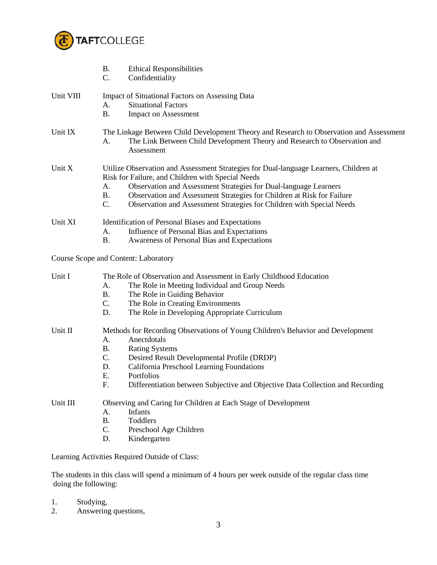

|           | <b>B.</b><br><b>Ethical Responsibilities</b><br>Confidentiality                                                                                                                                                                                                                                                                                                                            |  |
|-----------|--------------------------------------------------------------------------------------------------------------------------------------------------------------------------------------------------------------------------------------------------------------------------------------------------------------------------------------------------------------------------------------------|--|
| Unit VIII | <b>Impact of Situational Factors on Assessing Data</b><br><b>Situational Factors</b><br>А.<br><b>B.</b><br><b>Impact on Assessment</b>                                                                                                                                                                                                                                                     |  |
| Unit IX   | The Linkage Between Child Development Theory and Research to Observation and Assessment<br>The Link Between Child Development Theory and Research to Observation and<br>А.<br>Assessment                                                                                                                                                                                                   |  |
| Unit X    | Utilize Observation and Assessment Strategies for Dual-language Learners, Children at<br>Risk for Failure, and Children with Special Needs<br>Observation and Assessment Strategies for Dual-language Learners<br>A.<br>Observation and Assessment Strategies for Children at Risk for Failure<br><b>B.</b><br>C.<br>Observation and Assessment Strategies for Children with Special Needs |  |
| Unit XI   | Identification of Personal Biases and Expectations<br>Influence of Personal Bias and Expectations<br>A.<br>Awareness of Personal Bias and Expectations                                                                                                                                                                                                                                     |  |
|           | <b>Course Scope and Content: Laboratory</b>                                                                                                                                                                                                                                                                                                                                                |  |
| Unit I    | The Role of Observation and Assessment in Early Childhood Education<br>The Role in Meeting Individual and Group Needs<br>А.<br>The Role in Guiding Behavior<br><b>B.</b><br>C.<br>The Role in Creating Environments<br>The Role in Developing Appropriate Curriculum<br>D.                                                                                                                 |  |
| Unit II   | Methods for Recording Observations of Young Children's Behavior and Development<br>Anectdotals<br><b>B.</b><br><b>Rating Systems</b><br>C.<br>Desired Result Developmental Profile (DRDP)<br>D.<br>California Preschool Learning Foundations<br>Portfolios<br>Differentiation between Subjective and Objective Data Collection and Recording                                               |  |
| Unit III  | Observing and Caring for Children at Each Stage of Development<br>Infants<br>A.<br>Toddlers<br><b>B.</b><br>C.<br>Preschool Age Children<br>Kindergarten<br>D.                                                                                                                                                                                                                             |  |

Learning Activities Required Outside of Class:

The students in this class will spend a minimum of 4 hours per week outside of the regular class time doing the following:

- 1. Studying,<br>2. Answering
- Answering questions,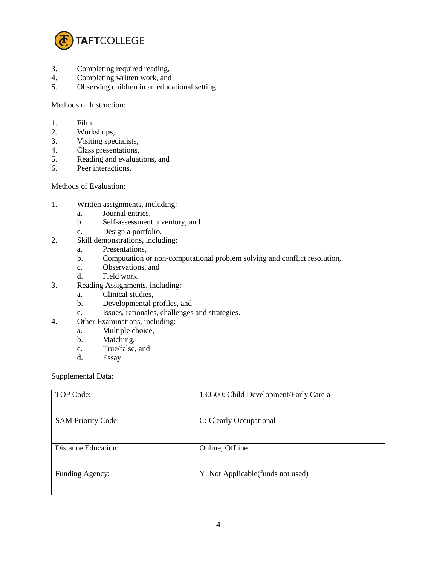

- 3. Completing required reading,
- 4. Completing written work, and<br>5. Observing children in an educa
- Observing children in an educational setting.

## Methods of Instruction:

- 1. Film
- 2. Workshops,
- 3. Visiting specialists,<br>4. Class presentations,
- Class presentations,
- 5. Reading and evaluations, and
- 6. Peer interactions.

## Methods of Evaluation:

- 1. Written assignments, including:
	- a. Journal entries,
	- b. Self-assessment inventory, and
	- c. Design a portfolio.
- 2. Skill demonstrations, including:
	- a. Presentations,
	- b. Computation or non-computational problem solving and conflict resolution,
	- c. Observations, and
	- d. Field work.
- 3. Reading Assignments, including:
	- a. Clinical studies,
	- b. Developmental profiles, and
	- c. Issues, rationales, challenges and strategies.
- 4. Other Examinations, including:
	- a. Multiple choice,
	- b. Matching,
	- c. True/false, and
	- d. Essay

Supplemental Data:

| TOP Code:                  | 130500: Child Development/Early Care a |
|----------------------------|----------------------------------------|
| <b>SAM Priority Code:</b>  | C: Clearly Occupational                |
| <b>Distance Education:</b> | Online; Offline                        |
| Funding Agency:            | Y: Not Applicable(funds not used)      |